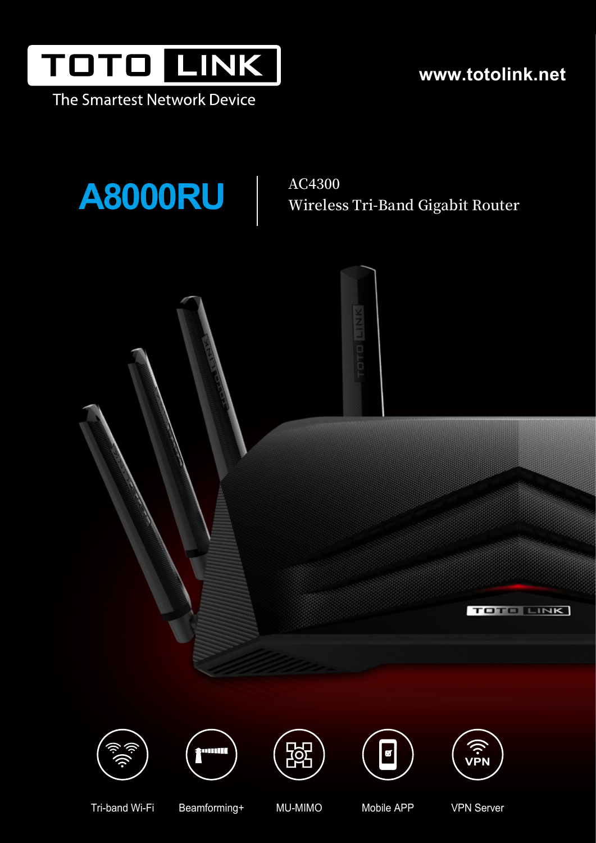

The Smartest Network Device

**www.totolink.net**

# **A8000RU**

AC4300 **Wireless Tri-Band Gigabit Router** 













Tri-band Wi-Fi Beamforming+ MU-MIMO VPN Server

Mobile APP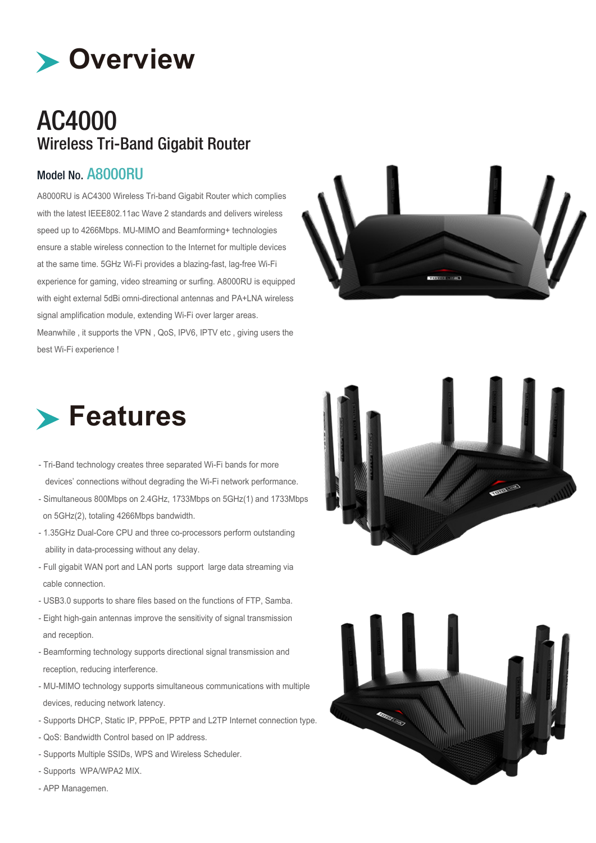## **Overview**

### AC4000 Wireless Tri-Band Gigabit Router

#### Model No. A8000RU

A8000RU is AC4300 Wireless Tri-band Gigabit Router which complies with the latest IEEE802.11ac Wave 2 standards and delivers wireless speed up to 4266Mbps. MU-MIMO and Beamforming+ technologies ensure a stable wireless connection to the Internet for multiple devices at the same time. 5GHz Wi-Fi provides a blazing-fast, lag-free Wi-Fi experience for gaming, video streaming or surfing. A8000RU is equipped with eight external 5dBi omni-directional antennas and PA+LNA wireless signal amplification module, extending Wi-Fi over larger areas. Meanwhile , it supports the VPN , QoS, IPV6, IPTV etc , giving users the best Wi-Fi experience !



### **Features**

- Tri-Band technology creates three separated Wi-Fi bands for more devices' connections without degrading the Wi-Fi network performance.
- Simultaneous 800Mbps on 2.4GHz, 1733Mbps on 5GHz(1) and 1733Mbps on 5GHz(2), totaling 4266Mbps bandwidth.
- 1.35GHz Dual-Core CPU and three co-processors perform outstanding ability in data-processing without any delay.
- Full gigabit WAN port and LAN ports support large data streaming via cable connection.
- USB3.0 supports to share files based on the functions of FTP, Samba.
- Eight high-gain antennas improve the sensitivity of signal transmission and reception.
- Beamforming technology supports directional signal transmission and reception, reducing interference.
- MU-MIMO technology supports simultaneous communications with multiple devices, reducing network latency.
- Supports DHCP, Static IP, PPPoE, PPTP and L2TP Internet connection type.
- QoS: Bandwidth Control based on IP address.
- Supports Multiple SSIDs, WPS and Wireless Scheduler.
- Supports WPA/WPA2 MIX.
- APP Managemen.



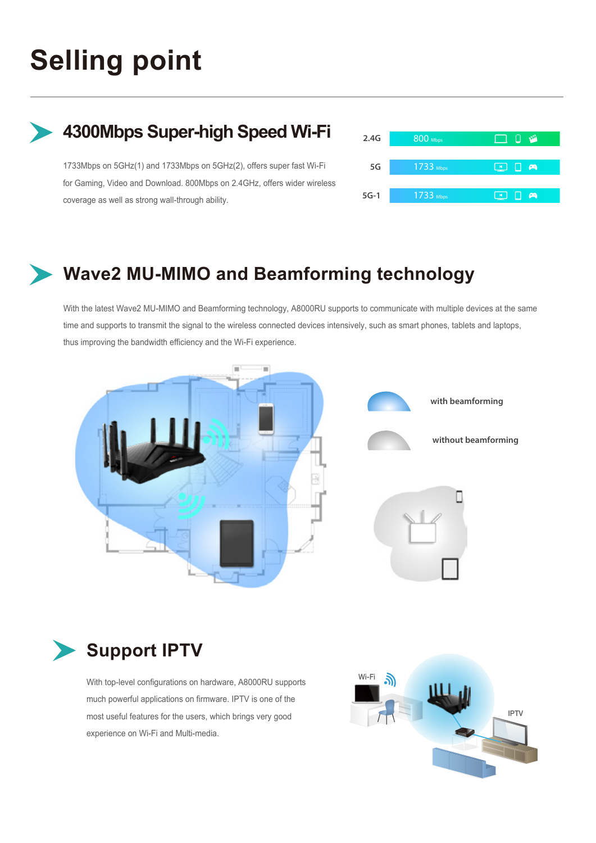# **Selling point**

### **4300Mbps Super-high Speed Wi-Fi**

1733Mbps on 5GHz(1) and 1733Mbps on 5GHz(2), offers super fast Wi-Fi for Gaming, Video and Download. 800Mbps on 2.4GHz, offers wider wireless coverage as well as strong wall-through ability.

| $800$ Mbps  | $\Box$ $\Box$ $\vec{v}$                                                                          |
|-------------|--------------------------------------------------------------------------------------------------|
|             |                                                                                                  |
| $1733$ Mbps | $\begin{array}{ c c c }\hline \ \hline \ \hline \ \hline \ \hline \ \hline \ \hline \end{array}$ |
|             |                                                                                                  |
| $1733$ Mbps | $\blacksquare$ $\blacksquare$ $\blacksquare$                                                     |
|             |                                                                                                  |

### **Wave2 MU-MIMO and Beamforming technology**

With the latest Wave2 MU-MIMO and Beamforming technology, A8000RU supports to communicate with multiple devices at the same time and supports to transmit the signal to the wireless connected devices intensively, such as smart phones, tablets and laptops, thus improving the bandwidth efficiency and the Wi-Fi experience.



With top-level configurations on hardware, A8000RU supports much powerful applications on firmware. IPTV is one of the most useful features for the users, which brings very good experience on Wi-Fi and Multi-media.

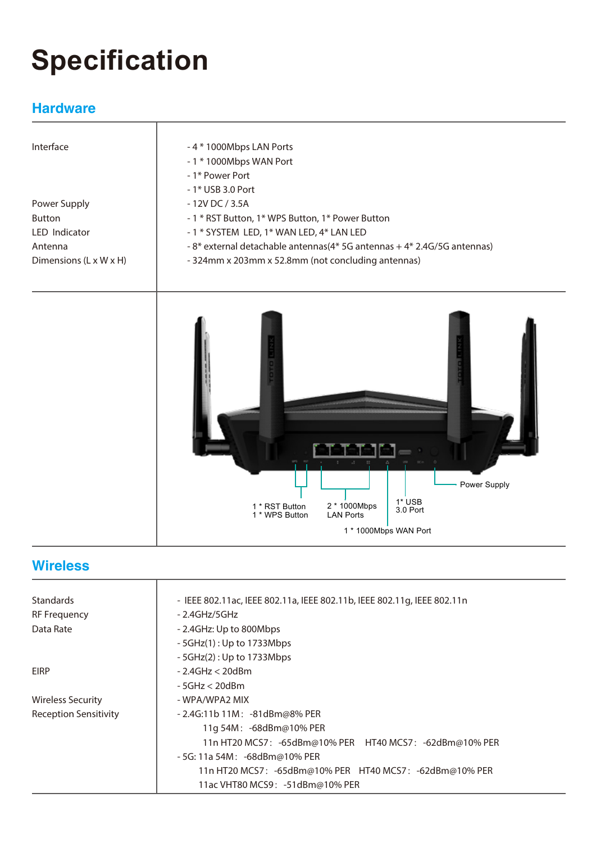# **Specification**

### **Hardware**

| Interface                          | $-4*1000Mbps$ LAN Ports                                                 |
|------------------------------------|-------------------------------------------------------------------------|
|                                    | - 1 * 1000Mbps WAN Port                                                 |
|                                    | - 1* Power Port                                                         |
|                                    | - 1* USB 3.0 Port                                                       |
| Power Supply                       | $-12V$ DC / 3.5A                                                        |
| <b>Button</b>                      | - 1 * RST Button, 1 * WPS Button, 1 * Power Button                      |
| <b>LED</b> Indicator               | - 1 * SYSTEM LED, 1* WAN LED, 4* LAN LED                                |
| Antenna                            | - 8* external detachable antennas(4* 5G antennas + 4* 2.4G/5G antennas) |
| Dimensions $(L \times W \times H)$ | - 324mm x 203mm x 52.8mm (not concluding antennas)                      |
|                                    |                                                                         |



#### **Wireless**

| - IEEE 802.11ac, IEEE 802.11a, IEEE 802.11b, IEEE 802.11g, IEEE 802.11n |
|-------------------------------------------------------------------------|
| - 2.4GHz/5GHz                                                           |
| - 2.4GHz: Up to 800Mbps                                                 |
| $-5$ GHz $(1)$ : Up to 1733Mbps                                         |
| $-5$ GHz $(2)$ : Up to 1733Mbps                                         |
| $-2.4$ GHz $<$ 20dBm                                                    |
| $-5$ GHz $<$ 20dBm                                                      |
| - WPA/WPA2 MIX                                                          |
| $-2.4G:11b11M: -81dBm@8% PER$                                           |
| 11g 54M: -68dBm@10% PER                                                 |
|                                                                         |
| $-5G: 11a 54M: -68dBm@10% PER$                                          |
| 11n HT20 MCS7: -65dBm@10% PER HT40 MCS7: -62dBm@10% PER                 |
| 11ac VHT80 MCS9: -51dBm@10% PER                                         |
|                                                                         |